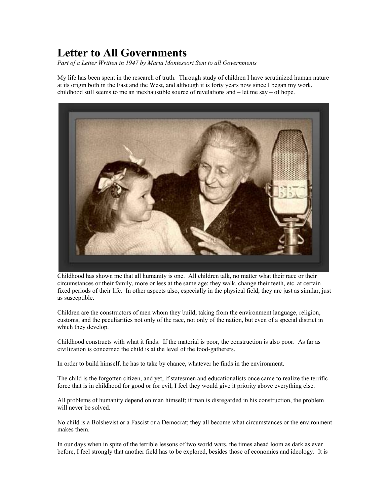## **Letter to All Governments**

*Part of a Letter Written in 1947 by Maria Montessori Sent to all Governments*

My life has been spent in the research of truth. Through study of children I have scrutinized human nature at its origin both in the East and the West, and although it is forty years now since I began my work, childhood still seems to me an inexhaustible source of revelations and – let me say – of hope.



Childhood has shown me that all humanity is one. All children talk, no matter what their race or their circumstances or their family, more or less at the same age; they walk, change their teeth, etc. at certain fixed periods of their life. In other aspects also, especially in the physical field, they are just as similar, just as susceptible.

Children are the constructors of men whom they build, taking from the environment language, religion, customs, and the peculiarities not only of the race, not only of the nation, but even of a special district in which they develop.

Childhood constructs with what it finds. If the material is poor, the construction is also poor. As far as civilization is concerned the child is at the level of the food-gatherers.

In order to build himself, he has to take by chance, whatever he finds in the environment.

The child is the forgotten citizen, and yet, if statesmen and educationalists once came to realize the terrific force that is in childhood for good or for evil, I feel they would give it priority above everything else.

All problems of humanity depend on man himself; if man is disregarded in his construction, the problem will never be solved.

No child is a Bolshevist or a Fascist or a Democrat; they all become what circumstances or the environment makes them.

In our days when in spite of the terrible lessons of two world wars, the times ahead loom as dark as ever before, I feel strongly that another field has to be explored, besides those of economics and ideology. It is